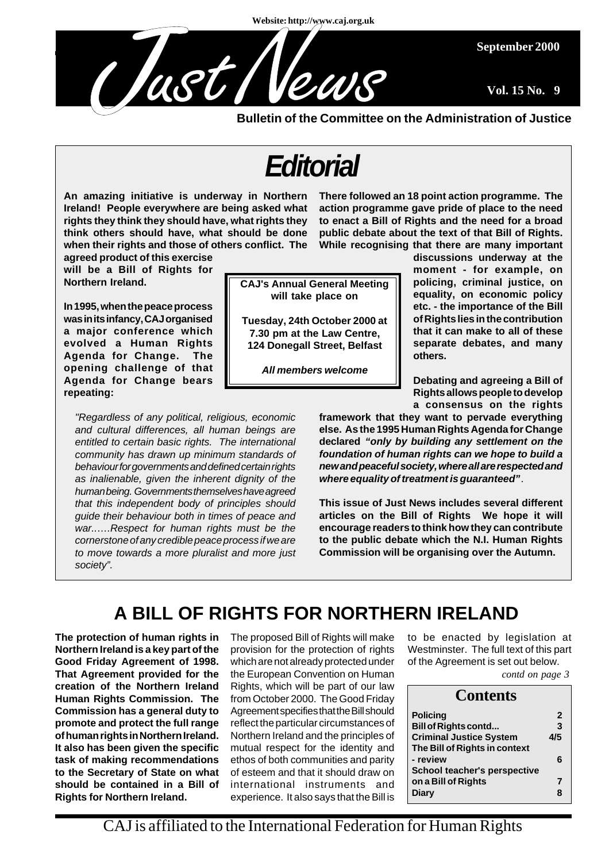**Website: http://www.caj.org.uk**



**Bulletin of the Committee on the Administration of Justice**

# *Editorial*

**An amazing initiative is underway in Northern Ireland! People everywhere are being asked what rights they think they should have, what rights they think others should have, what should be done when their rights and those of others conflict. The**

**agreed product of this exercise will be a Bill of Rights for Northern Ireland.**

**In 1995, when the peace process was in its infancy, CAJ organised a major conference which evolved a Human Rights Agenda for Change. The opening challenge of that Agenda for Change bears repeating:**

*"Regardless of any political, religious, economic and cultural differences, all human beings are entitled to certain basic rights. The international community has drawn up minimum standards of behaviour for governments and defined certain rights as inalienable, given the inherent dignity of the human being. Governments themselves have agreed that this independent body of principles should guide their behaviour both in times of peace and war..….Respect for human rights must be the cornerstone of any credible peace process if we are to move towards a more pluralist and more just society".*

**CAJ's Annual General Meeting will take place on**

**Tuesday, 24th October 2000 at 7.30 pm at the Law Centre, 124 Donegall Street, Belfast**

*All members welcome*

**There followed an 18 point action programme. The action programme gave pride of place to the need to enact a Bill of Rights and the need for a broad public debate about the text of that Bill of Rights. While recognising that there are many important**

**discussions underway at the moment - for example, on policing, criminal justice, on equality, on economic policy etc. - the importance of the Bill of Rights lies in the contribution that it can make to all of these separate debates, and many others.**

**September 2000**

**Vol. 15 No. 9**

**Debating and agreeing a Bill of Rights allows people to develop a consensus on the rights**

**framework that they want to pervade everything else. As the 1995 Human Rights Agenda for Change declared** *"only by building any settlement on the foundation of human rights can we hope to build a new and peaceful society, where all are respected and where equality of treatment is guaranteed"*.

**This issue of Just News includes several different articles on the Bill of Rights We hope it will encourage readers to think how they can contribute to the public debate which the N.I. Human Rights Commission will be organising over the Autumn.**

## **A BILL OF RIGHTS FOR NORTHERN IRELAND**

**The protection of human rights in Northern Ireland is a key part of the Good Friday Agreement of 1998. That Agreement provided for the creation of the Northern Ireland Human Rights Commission. The Commission has a general duty to promote and protect the full range of human rights in Northern Ireland. It also has been given the specific task of making recommendations to the Secretary of State on what should be contained in a Bill of Rights for Northern Ireland.**

The proposed Bill of Rights will make provision for the protection of rights which are not already protected under the European Convention on Human Rights, which will be part of our law from October 2000. The Good Friday Agreement specifies that the Bill should reflect the particular circumstances of Northern Ireland and the principles of mutual respect for the identity and ethos of both communities and parity of esteem and that it should draw on international instruments and experience. It also says that the Bill is

to be enacted by legislation at Westminster. The full text of this part of the Agreement is set out below.

*contd on page 3*

| <b>Contents</b>                |              |
|--------------------------------|--------------|
| <b>Policing</b>                | $\mathbf{2}$ |
| <b>Bill of Rights contd</b>    | 3            |
| <b>Criminal Justice System</b> | 4/5          |
| The Bill of Rights in context  |              |
| - review                       | 6            |
| School teacher's perspective   |              |
| on a Bill of Rights            | 7            |
| <b>Diary</b>                   | 8            |

CAJ is affiliated to the International Federation for Human Rights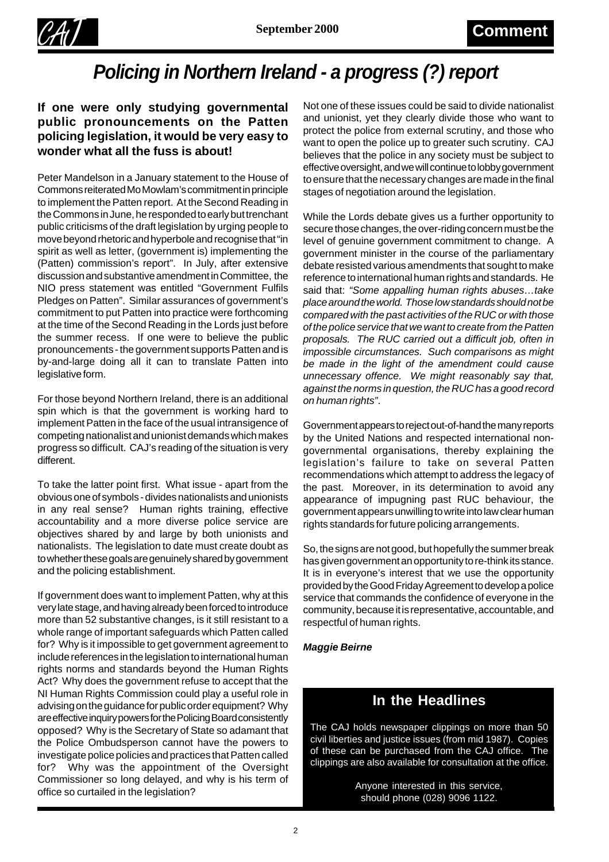

## *Policing in Northern Ireland - a progress (?) report*

#### **If one were only studying governmental public pronouncements on the Patten policing legislation, it would be very easy to wonder what all the fuss is about!**

Peter Mandelson in a January statement to the House of Commons reiterated Mo Mowlam's commitment in principle to implement the Patten report. At the Second Reading in the Commons in June, he responded to early but trenchant public criticisms of the draft legislation by urging people to move beyond rhetoric and hyperbole and recognise that "in spirit as well as letter, (government is) implementing the (Patten) commission's report". In July, after extensive discussion and substantive amendment in Committee, the NIO press statement was entitled "Government Fulfils Pledges on Patten". Similar assurances of government's commitment to put Patten into practice were forthcoming at the time of the Second Reading in the Lords just before the summer recess. If one were to believe the public pronouncements - the government supports Patten and is by-and-large doing all it can to translate Patten into legislative form.

For those beyond Northern Ireland, there is an additional spin which is that the government is working hard to implement Patten in the face of the usual intransigence of competing nationalist and unionist demands which makes progress so difficult. CAJ's reading of the situation is very different.

To take the latter point first. What issue - apart from the obvious one of symbols - divides nationalists and unionists in any real sense? Human rights training, effective accountability and a more diverse police service are objectives shared by and large by both unionists and nationalists. The legislation to date must create doubt as to whether these goals are genuinely shared by government and the policing establishment.

If government does want to implement Patten, why at this very late stage, and having already been forced to introduce more than 52 substantive changes, is it still resistant to a whole range of important safeguards which Patten called for? Why is it impossible to get government agreement to include references in the legislation to international human rights norms and standards beyond the Human Rights Act? Why does the government refuse to accept that the NI Human Rights Commission could play a useful role in advising on the guidance for public order equipment? Why are effective inquiry powers for the Policing Board consistently opposed? Why is the Secretary of State so adamant that the Police Ombudsperson cannot have the powers to investigate police policies and practices that Patten called for? Why was the appointment of the Oversight Commissioner so long delayed, and why is his term of office so curtailed in the legislation?

Not one of these issues could be said to divide nationalist and unionist, yet they clearly divide those who want to protect the police from external scrutiny, and those who want to open the police up to greater such scrutiny. CAJ believes that the police in any society must be subject to effective oversight, and we will continue to lobby government to ensure that the necessary changes are made in the final stages of negotiation around the legislation.

While the Lords debate gives us a further opportunity to secure those changes, the over-riding concern must be the level of genuine government commitment to change. A government minister in the course of the parliamentary debate resisted various amendments that sought to make reference to international human rights and standards. He said that: *"Some appalling human rights abuses…take place around the world. Those low standards should not be compared with the past activities of the RUC or with those of the police service that we want to create from the Patten proposals. The RUC carried out a difficult job, often in impossible circumstances. Such comparisons as might be made in the light of the amendment could cause unnecessary offence. We might reasonably say that, against the norms in question, the RUC has a good record on human rights"*.

Government appears to reject out-of-hand the many reports by the United Nations and respected international nongovernmental organisations, thereby explaining the legislation's failure to take on several Patten recommendations which attempt to address the legacy of the past. Moreover, in its determination to avoid any appearance of impugning past RUC behaviour, the government appears unwilling to write into law clear human rights standards for future policing arrangements.

So, the signs are not good, but hopefully the summer break has given government an opportunity to re-think its stance. It is in everyone's interest that we use the opportunity provided by the Good Friday Agreement to develop a police service that commands the confidence of everyone in the community, because it is representative, accountable, and respectful of human rights.

*Maggie Beirne*

### **In the Headlines**

The CAJ holds newspaper clippings on more than 50 civil liberties and justice issues (from mid 1987). Copies of these can be purchased from the CAJ office. The clippings are also available for consultation at the office.

> Anyone interested in this service, should phone (028) 9096 1122.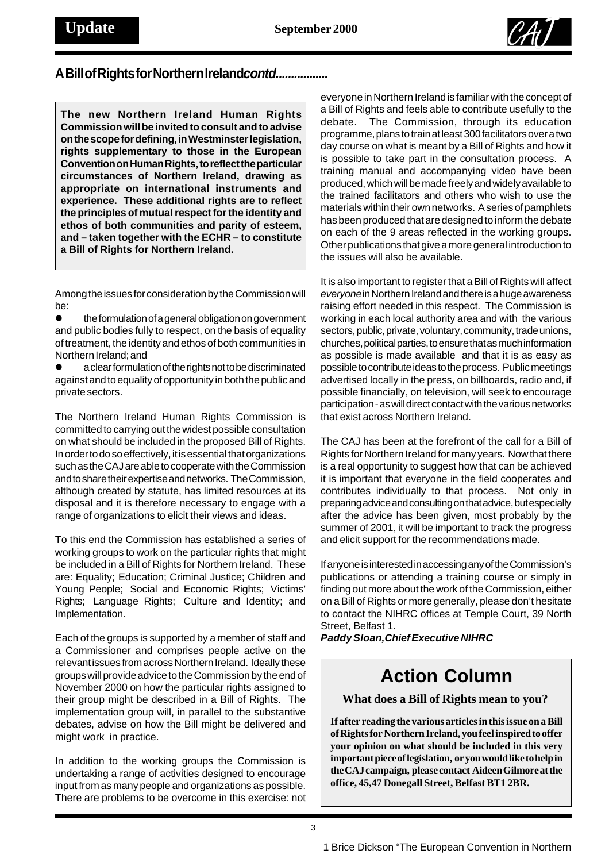

#### A Bill of Rights for Northern Ireland *contd................*

**The new Northern Ireland Human Rights Commission will be invited to consult and to advise on the scope for defining, in Westminster legislation, rights supplementary to those in the European Convention on Human Rights, to reflect the particular circumstances of Northern Ireland, drawing as appropriate on international instruments and experience. These additional rights are to reflect the principles of mutual respect for the identity and ethos of both communities and parity of esteem, and – taken together with the ECHR – to constitute a Bill of Rights for Northern Ireland.**

Among the issues for consideration by the Commission will be:

 $\bullet$  the formulation of a general obligation on government and public bodies fully to respect, on the basis of equality of treatment, the identity and ethos of both communities in Northern Ireland; and

a clear formulation of the rights not to be discriminated against and to equality of opportunity in both the public and private sectors.

The Northern Ireland Human Rights Commission is committed to carrying out the widest possible consultation on what should be included in the proposed Bill of Rights. In order to do so effectively, it is essential that organizations such as the CAJ are able to cooperate with the Commission and to share their expertise and networks. The Commission, although created by statute, has limited resources at its disposal and it is therefore necessary to engage with a range of organizations to elicit their views and ideas.

To this end the Commission has established a series of working groups to work on the particular rights that might be included in a Bill of Rights for Northern Ireland. These are: Equality; Education; Criminal Justice; Children and Young People; Social and Economic Rights; Victims' Rights; Language Rights; Culture and Identity; and Implementation.

Each of the groups is supported by a member of staff and a Commissioner and comprises people active on the relevant issues from across Northern Ireland. Ideally these groups will provide advice to the Commission by the end of November 2000 on how the particular rights assigned to their group might be described in a Bill of Rights. The implementation group will, in parallel to the substantive debates, advise on how the Bill might be delivered and might work in practice.

In addition to the working groups the Commission is undertaking a range of activities designed to encourage input from as many people and organizations as possible. There are problems to be overcome in this exercise: not

everyone in Northern Ireland is familiar with the concept of a Bill of Rights and feels able to contribute usefully to the debate. The Commission, through its education programme, plans to train at least 300 facilitators over a two day course on what is meant by a Bill of Rights and how it is possible to take part in the consultation process. A training manual and accompanying video have been produced, which will be made freely and widely available to the trained facilitators and others who wish to use the materials within their own networks. A series of pamphlets has been produced that are designed to inform the debate on each of the 9 areas reflected in the working groups. Other publications that give a more general introduction to the issues will also be available.

It is also important to register that a Bill of Rights will affect *everyone* in Northern Ireland and there is a huge awareness raising effort needed in this respect. The Commission is working in each local authority area and with the various sectors, public, private, voluntary, community, trade unions, churches, political parties, to ensure that as much information as possible is made available and that it is as easy as possible to contribute ideas to the process. Public meetings advertised locally in the press, on billboards, radio and, if possible financially, on television, will seek to encourage participation - as will direct contact with the various networks that exist across Northern Ireland.

The CAJ has been at the forefront of the call for a Bill of Rights for Northern Ireland for many years. Now that there is a real opportunity to suggest how that can be achieved it is important that everyone in the field cooperates and contributes individually to that process. Not only in preparing advice and consulting on that advice, but especially after the advice has been given, most probably by the summer of 2001, it will be important to track the progress and elicit support for the recommendations made.

If anyone is interested in accessing any of the Commission's publications or attending a training course or simply in finding out more about the work of the Commission, either on a Bill of Rights or more generally, please don't hesitate to contact the NIHRC offices at Temple Court, 39 North Street, Belfast 1.

*Paddy Sloan, Chief Executive NIHRC*

## **Action Column**

**What does a Bill of Rights mean to you?**

**If after reading the various articles in this issue on a Bill of Rights for Northern Ireland, you feel inspired to offer your opinion on what should be included in this very important piece of legislation, or you would like to help in the CAJ campaign, please contact Aideen Gilmore at the office, 45,47 Donegall Street, Belfast BT1 2BR.**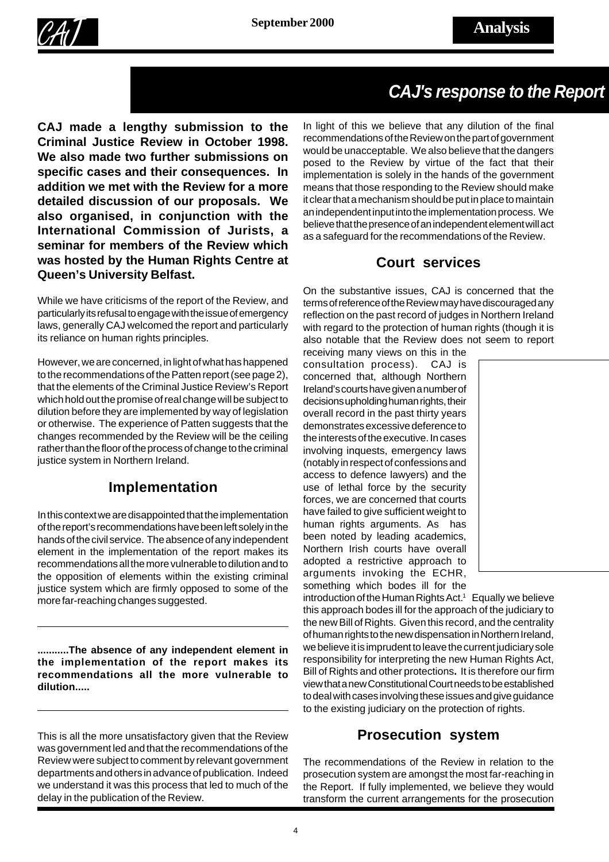



## *CAJ's response to the Report*

**CAJ made a lengthy submission to the Criminal Justice Review in October 1998. We also made two further submissions on specific cases and their consequences. In addition we met with the Review for a more detailed discussion of our proposals. We also organised, in conjunction with the International Commission of Jurists, a seminar for members of the Review which was hosted by the Human Rights Centre at Queen's University Belfast.**

While we have criticisms of the report of the Review, and particularly its refusal to engage with the issue of emergency laws, generally CAJ welcomed the report and particularly its reliance on human rights principles.

However, we are concerned, in light of what has happened to the recommendations of the Patten report (see page 2), that the elements of the Criminal Justice Review's Report which hold out the promise of real change will be subject to dilution before they are implemented by way of legislation or otherwise. The experience of Patten suggests that the changes recommended by the Review will be the ceiling rather than the floor of the process of change to the criminal justice system in Northern Ireland.

#### **Implementation**

In this context we are disappointed that the implementation of the report's recommendations have been left solely in the hands of the civil service. The absence of any independent element in the implementation of the report makes its recommendations all the more vulnerable to dilution and to the opposition of elements within the existing criminal justice system which are firmly opposed to some of the more far-reaching changes suggested.

**...........The absence of any independent element in the implementation of the report makes its recommendations all the more vulnerable to dilution.....**

This is all the more unsatisfactory given that the Review was government led and that the recommendations of the Review were subject to comment by relevant government departments and others in advance of publication. Indeed we understand it was this process that led to much of the delay in the publication of the Review.

In light of this we believe that any dilution of the final recommendations of the Review on the part of government would be unacceptable. We also believe that the dangers posed to the Review by virtue of the fact that their implementation is solely in the hands of the government means that those responding to the Review should make it clear that a mechanism should be put in place to maintain an independent input into the implementation process. We believe that the presence of an independent element will act as a safeguard for the recommendations of the Review.

#### **Court services**

On the substantive issues, CAJ is concerned that the terms of reference of the Review may have discouraged any reflection on the past record of judges in Northern Ireland with regard to the protection of human rights (though it is also notable that the Review does not seem to report

receiving many views on this in the consultation process). CAJ is concerned that, although Northern Ireland's courts have given a number of decisions upholding human rights, their overall record in the past thirty years demonstrates excessive deference to the interests of the executive. In cases involving inquests, emergency laws (notably in respect of confessions and access to defence lawyers) and the use of lethal force by the security forces, we are concerned that courts have failed to give sufficient weight to human rights arguments. As has been noted by leading academics, Northern Irish courts have overall adopted a restrictive approach to arguments invoking the ECHR, something which bodes ill for the



introduction of the Human Rights Act.<sup>1</sup> Equally we believe this approach bodes ill for the approach of the judiciary to the new Bill of Rights. Given this record, and the centrality of human rights to the new dispensation in Northern Ireland, we believe it is imprudent to leave the current judiciary sole responsibility for interpreting the new Human Rights Act, Bill of Rights and other protections**.** It is therefore our firm view that a new Constitutional Court needs to be established to deal with cases involving these issues and give guidance to the existing judiciary on the protection of rights.

#### **Prosecution system**

The recommendations of the Review in relation to the prosecution system are amongst the most far-reaching in the Report. If fully implemented, we believe they would transform the current arrangements for the prosecution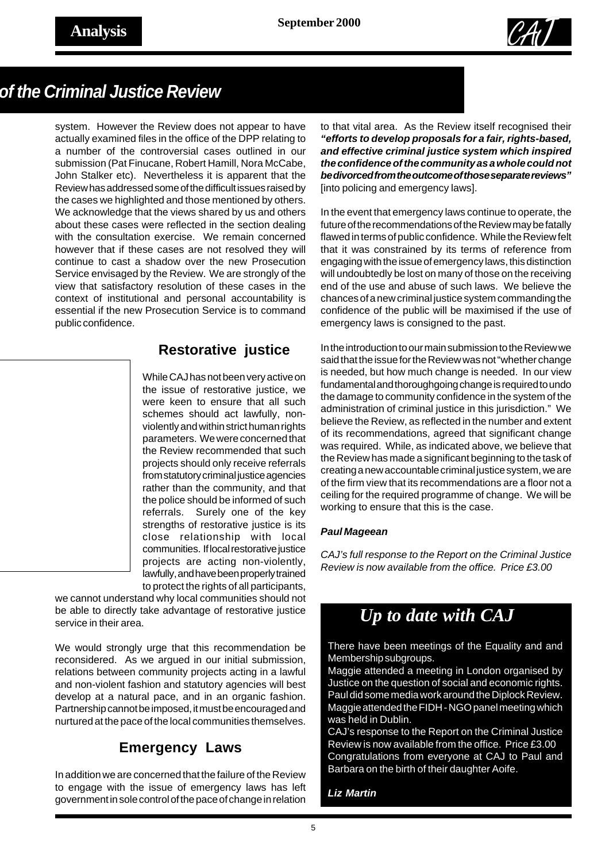

### *of the Criminal Justice Review*

system. However the Review does not appear to have actually examined files in the office of the DPP relating to a number of the controversial cases outlined in our submission (Pat Finucane, Robert Hamill, Nora McCabe, John Stalker etc). Nevertheless it is apparent that the Review has addressed some of the difficult issues raised by the cases we highlighted and those mentioned by others. We acknowledge that the views shared by us and others about these cases were reflected in the section dealing with the consultation exercise. We remain concerned however that if these cases are not resolved they will continue to cast a shadow over the new Prosecution Service envisaged by the Review. We are strongly of the view that satisfactory resolution of these cases in the context of institutional and personal accountability is essential if the new Prosecution Service is to command public confidence.

#### **Restorative justice**

While CAJ has not been very active on the issue of restorative justice, we were keen to ensure that all such schemes should act lawfully, nonviolently and within strict human rights parameters. We were concerned that the Review recommended that such projects should only receive referrals from statutory criminal justice agencies rather than the community, and that the police should be informed of such referrals. Surely one of the key strengths of restorative justice is its close relationship with local communities. If local restorative justice projects are acting non-violently, lawfully, and have been properly trained to protect the rights of all participants,

we cannot understand why local communities should not be able to directly take advantage of restorative justice service in their area.

We would strongly urge that this recommendation be reconsidered. As we argued in our initial submission, relations between community projects acting in a lawful and non-violent fashion and statutory agencies will best develop at a natural pace, and in an organic fashion. Partnership cannot be imposed, it must be encouraged and nurtured at the pace of the local communities themselves.

#### **Emergency Laws**

In addition we are concerned that the failure of the Review to engage with the issue of emergency laws has left government in sole control of the pace of change in relation

to that vital area. As the Review itself recognised their *"efforts to develop proposals for a fair, rights-based, and effective criminal justice system which inspired the confidence of the community as a whole could not be divorced from the outcome of those separate reviews"* [into policing and emergency laws].

In the event that emergency laws continue to operate, the future of the recommendations of the Review may be fatally flawed in terms of public confidence. While the Review felt that it was constrained by its terms of reference from engaging with the issue of emergency laws, this distinction will undoubtedly be lost on many of those on the receiving end of the use and abuse of such laws. We believe the chances of a new criminal justice system commanding the confidence of the public will be maximised if the use of emergency laws is consigned to the past.

In the introduction to our main submission to the Review we said that the issue for the Review was not "whether change is needed, but how much change is needed. In our view fundamental and thoroughgoing change is required to undo the damage to community confidence in the system of the administration of criminal justice in this jurisdiction." We believe the Review, as reflected in the number and extent of its recommendations, agreed that significant change was required. While, as indicated above, we believe that the Review has made a significant beginning to the task of creating a new accountable criminal justice system, we are of the firm view that its recommendations are a floor not a ceiling for the required programme of change. We will be working to ensure that this is the case.

#### *Paul Mageean*

*CAJ's full response to the Report on the Criminal Justice Review is now available from the office. Price £3.00*

## *Up to date with CAJ*

There have been meetings of the Equality and and Membership subgroups.

Maggie attended a meeting in London organised by Justice on the question of social and economic rights. Paul did some media work around the Diplock Review. Maggie attended the FIDH - NGO panel meeting which was held in Dublin.

CAJ's response to the Report on the Criminal Justice Review is now available from the office. Price £3.00 Congratulations from everyone at CAJ to Paul and Barbara on the birth of their daughter Aoife.

*Liz Martin*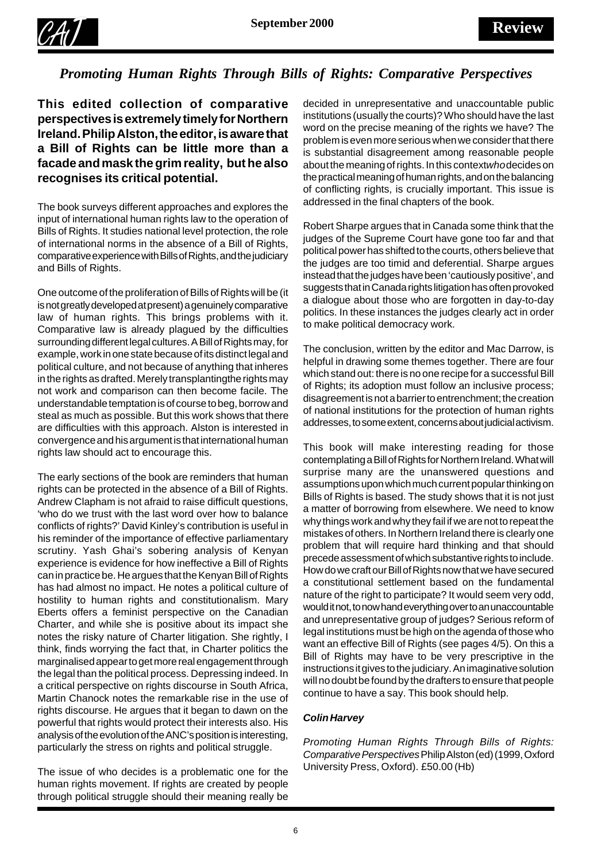

#### *Promoting Human Rights Through Bills of Rights: Comparative Perspectives*

**This edited collection of comparative perspectives is extremely timely for Northern Ireland. Philip Alston, the editor, is aware that a Bill of Rights can be little more than a facade and mask the grim reality, but he also recognises its critical potential.**

The book surveys different approaches and explores the input of international human rights law to the operation of Bills of Rights. It studies national level protection, the role of international norms in the absence of a Bill of Rights, comparative experience with Bills of Rights, and the judiciary and Bills of Rights.

One outcome of the proliferation of Bills of Rights will be (it is not greatly developed at present) a genuinely comparative law of human rights. This brings problems with it. Comparative law is already plagued by the difficulties surrounding different legal cultures. A Bill of Rights may, for example, work in one state because of its distinct legal and political culture, and not because of anything that inheres in the rights as drafted. Merely transplanting the rights may not work and comparison can then become facile. The understandable temptation is of course to beg, borrow and steal as much as possible. But this work shows that there are difficulties with this approach. Alston is interested in convergence and his argument is that international human rights law should act to encourage this.

The early sections of the book are reminders that human rights can be protected in the absence of a Bill of Rights. Andrew Clapham is not afraid to raise difficult questions, 'who do we trust with the last word over how to balance conflicts of rights?' David Kinley's contribution is useful in his reminder of the importance of effective parliamentary scrutiny. Yash Ghai's sobering analysis of Kenyan experience is evidence for how ineffective a Bill of Rights can in practice be. He argues that the Kenyan Bill of Rights has had almost no impact. He notes a political culture of hostility to human rights and constitutionalism. Mary Eberts offers a feminist perspective on the Canadian Charter, and while she is positive about its impact she notes the risky nature of Charter litigation. She rightly, I think, finds worrying the fact that, in Charter politics the marginalised appear to get more real engagement through the legal than the political process. Depressing indeed. In a critical perspective on rights discourse in South Africa, Martin Chanock notes the remarkable rise in the use of rights discourse. He argues that it began to dawn on the powerful that rights would protect their interests also. His analysis of the evolution of the ANC's position is interesting, particularly the stress on rights and political struggle.

The issue of who decides is a problematic one for the human rights movement. If rights are created by people through political struggle should their meaning really be

decided in unrepresentative and unaccountable public institutions (usually the courts)? Who should have the last word on the precise meaning of the rights we have? The problem is even more serious when we consider that there is substantial disagreement among reasonable people about the meaning of rights. In this context *who* decides on the practical meaning of human rights, and on the balancing of conflicting rights, is crucially important. This issue is addressed in the final chapters of the book.

Robert Sharpe argues that in Canada some think that the judges of the Supreme Court have gone too far and that political power has shifted to the courts, others believe that the judges are too timid and deferential. Sharpe argues instead that the judges have been 'cautiously positive', and suggests that in Canada rights litigation has often provoked a dialogue about those who are forgotten in day-to-day politics. In these instances the judges clearly act in order to make political democracy work.

The conclusion, written by the editor and Mac Darrow, is helpful in drawing some themes together. There are four which stand out: there is no one recipe for a successful Bill of Rights; its adoption must follow an inclusive process; disagreement is not a barrier to entrenchment; the creation of national institutions for the protection of human rights addresses, to some extent, concerns about judicial activism.

This book will make interesting reading for those contemplating a Bill of Rights for Northern Ireland. What will surprise many are the unanswered questions and assumptions upon which much current popular thinking on Bills of Rights is based. The study shows that it is not just a matter of borrowing from elsewhere. We need to know why things work and why they fail if we are not to repeat the mistakes of others. In Northern Ireland there is clearly one problem that will require hard thinking and that should precede assessment of which substantive rights to include. How do we craft our Bill of Rights now that we have secured a constitutional settlement based on the fundamental nature of the right to participate? It would seem very odd, would it not, to now hand everything over to an unaccountable and unrepresentative group of judges? Serious reform of legal institutions must be high on the agenda of those who want an effective Bill of Rights (see pages 4/5). On this a Bill of Rights may have to be very prescriptive in the instructions it gives to the judiciary. An imaginative solution will no doubt be found by the drafters to ensure that people continue to have a say. This book should help.

#### *Colin Harvey*

*Promoting Human Rights Through Bills of Rights: Comparative Perspectives* Philip Alston (ed) (1999, Oxford University Press, Oxford). £50.00 (Hb)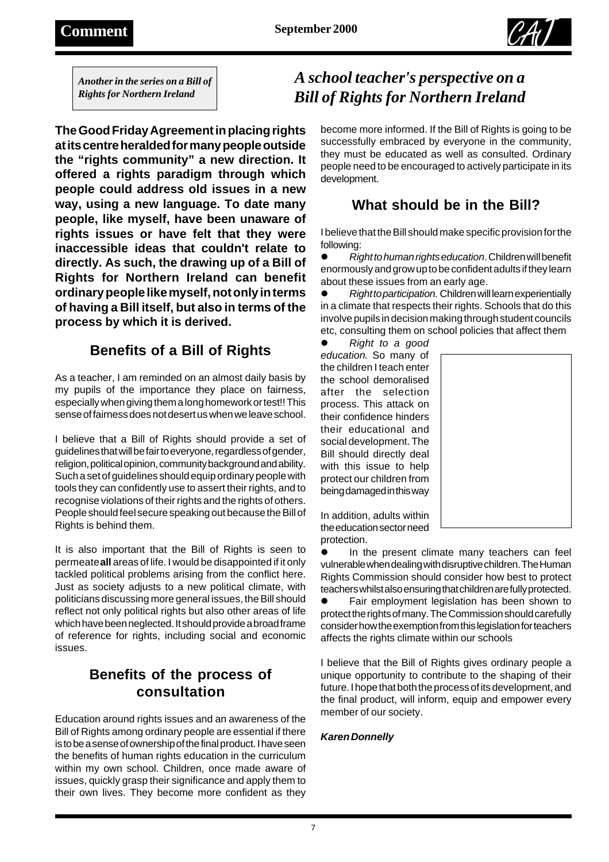

*Another in the series on a Bill of Rights for Northern Ireland*

**The Good Friday Agreement in placing rights at its centre heralded for many people outside the "rights community" a new direction. It offered a rights paradigm through which people could address old issues in a new way, using a new language. To date many people, like myself, have been unaware of rights issues or have felt that they were inaccessible ideas that couldn't relate to directly. As such, the drawing up of a Bill of Rights for Northern Ireland can benefit ordinary people like myself, not only in terms of having a Bill itself, but also in terms of the process by which it is derived.**

### **Benefits of a Bill of Rights**

As a teacher, I am reminded on an almost daily basis by my pupils of the importance they place on fairness, especially when giving them a long homework or test!! This sense of fairness does not desert us when we leave school.

I believe that a Bill of Rights should provide a set of guidelines that will be fair to everyone, regardless of gender, religion, political opinion, community background and ability. Such a set of guidelines should equip ordinary people with tools they can confidently use to assert their rights, and to recognise violations of their rights and the rights of others. People should feel secure speaking out because the Bill of Rights is behind them.

It is also important that the Bill of Rights is seen to permeate **all** areas of life. I would be disappointed if it only tackled political problems arising from the conflict here. Just as society adjusts to a new political climate, with politicians discussing more general issues, the Bill should reflect not only political rights but also other areas of life which have been neglected. It should provide a broad frame of reference for rights, including social and economic issues.

### **Benefits of the process of consultation**

Education around rights issues and an awareness of the Bill of Rights among ordinary people are essential if there is to be a sense of ownership of the final product. I have seen the benefits of human rights education in the curriculum within my own school. Children, once made aware of issues, quickly grasp their significance and apply them to their own lives. They become more confident as they

### *A school teacher's perspective on a Bill of Rights for Northern Ireland*

become more informed. If the Bill of Rights is going to be successfully embraced by everyone in the community, they must be educated as well as consulted. Ordinary people need to be encouraged to actively participate in its development.

### **What should be in the Bill?**

I believe that the Bill should make specific provision for the following:

! *Right to human rights education*. Children will benefit enormously and grow up to be confident adults if they learn about these issues from an early age.

! *Right to participation*. Children will learn experientially in a climate that respects their rights. Schools that do this involve pupils in decision making through student councils etc, consulting them on school policies that affect them

! *Right to a good education*. So many of the children I teach enter the school demoralised after the selection process. This attack on their confidence hinders their educational and social development. The Bill should directly deal with this issue to help protect our children from being damaged in this way



In addition, adults within the education sector need protection.

In the present climate many teachers can feel vulnerable when dealing with disruptive children. The Human Rights Commission should consider how best to protect teachers whilst also ensuring that children are fully protected.

Fair employment legislation has been shown to protect the rights of many. The Commission should carefully consider how the exemption from this legislation for teachers affects the rights climate within our schools

I believe that the Bill of Rights gives ordinary people a unique opportunity to contribute to the shaping of their future. I hope that both the process of its development, and the final product, will inform, equip and empower every member of our society.

#### *Karen Donnelly*